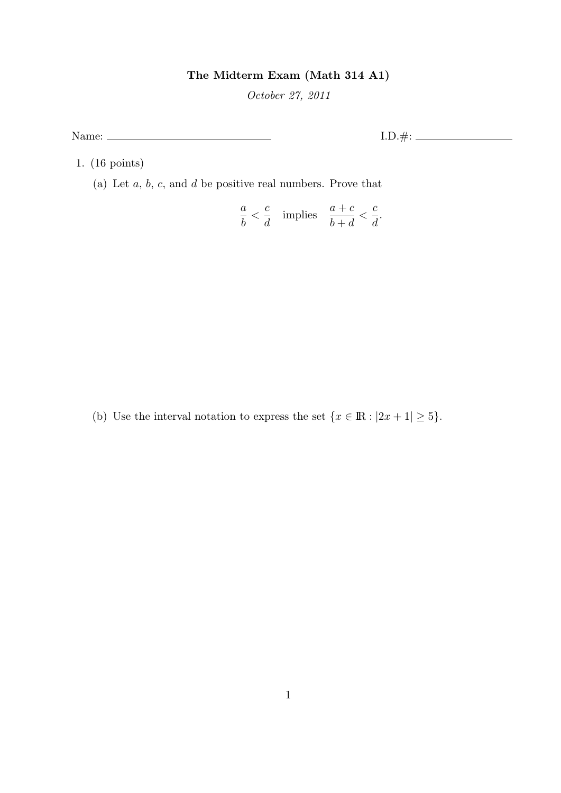## The Midterm Exam (Math 314 A1)

October 27, 2011

Name: I.D.#:

1. (16 points)

(a) Let  $a, b, c$ , and  $d$  be positive real numbers. Prove that

$$
\frac{a}{b} < \frac{c}{d} \quad \text{implies} \quad \frac{a+c}{b+d} < \frac{c}{d}.
$$

(b) Use the interval notation to express the set  $\{x \in \mathbb{R} : |2x + 1| \ge 5\}$ .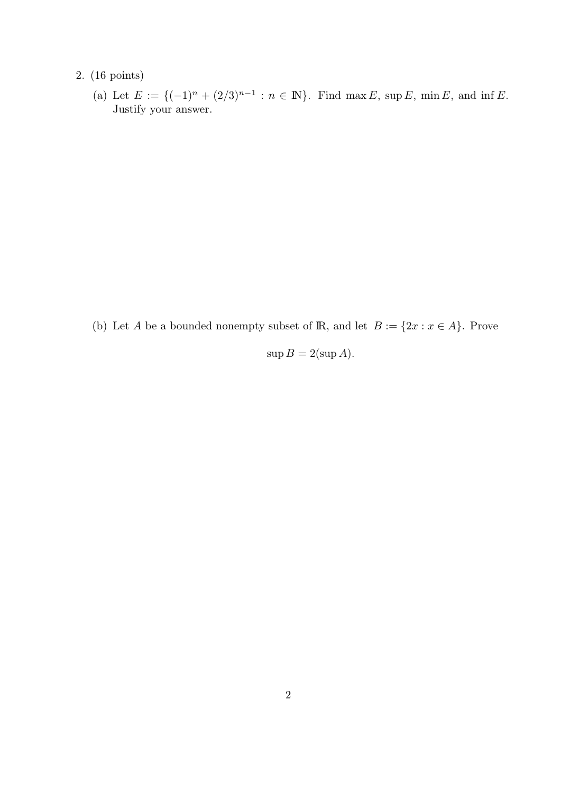## 2. (16 points)

(a) Let  $E := \{(-1)^n + (2/3)^{n-1} : n \in \mathbb{N}\}\.$  Find max E, sup E, min E, and inf E. Justify your answer.

(b) Let A be a bounded nonempty subset of  $\mathbb{R}$ , and let  $B := \{2x : x \in A\}$ . Prove

$$
\sup B = 2(\sup A).
$$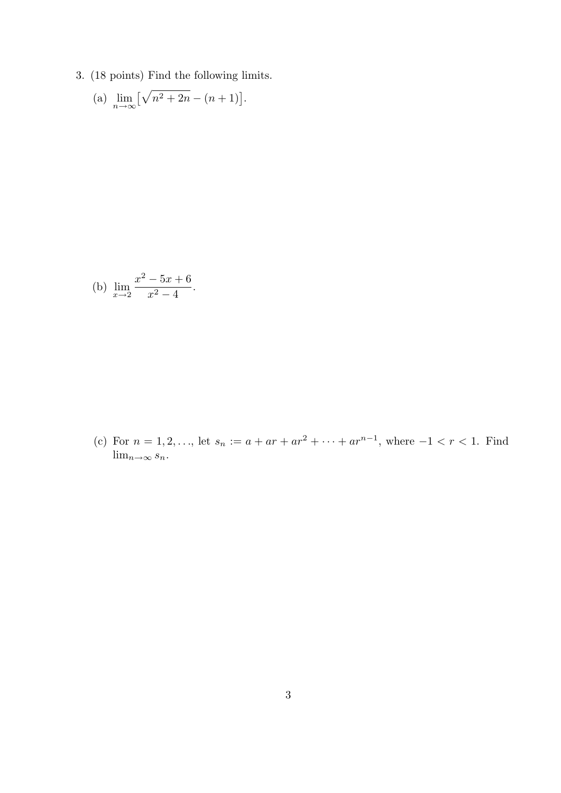3. (18 points) Find the following limits.

(a) 
$$
\lim_{n \to \infty} [\sqrt{n^2 + 2n} - (n+1)].
$$

(b) 
$$
\lim_{x \to 2} \frac{x^2 - 5x + 6}{x^2 - 4}.
$$

(c) For  $n = 1, 2, \ldots$ , let  $s_n := a + ar + ar^2 + \cdots + ar^{n-1}$ , where  $-1 < r < 1$ . Find  $\lim_{n\to\infty} s_n$ .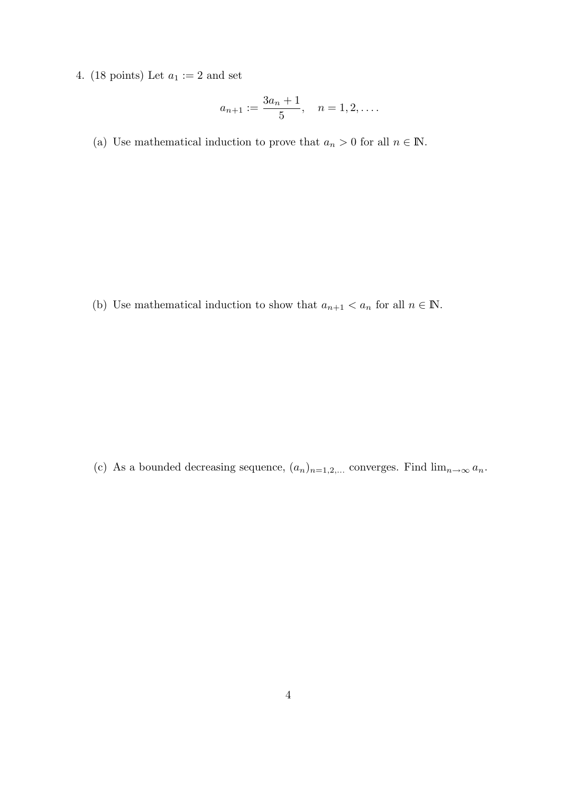4. (18 points) Let  $a_1 := 2$  and set

$$
a_{n+1} := \frac{3a_n+1}{5}, \quad n = 1, 2, \dots.
$$

(a) Use mathematical induction to prove that  $a_n > 0$  for all  $n \in \mathbb{N}$ .

(b) Use mathematical induction to show that  $a_{n+1} < a_n$  for all  $n \in \mathbb{N}$ .

(c) As a bounded decreasing sequence,  $(a_n)_{n=1,2,...}$  converges. Find  $\lim_{n\to\infty} a_n$ .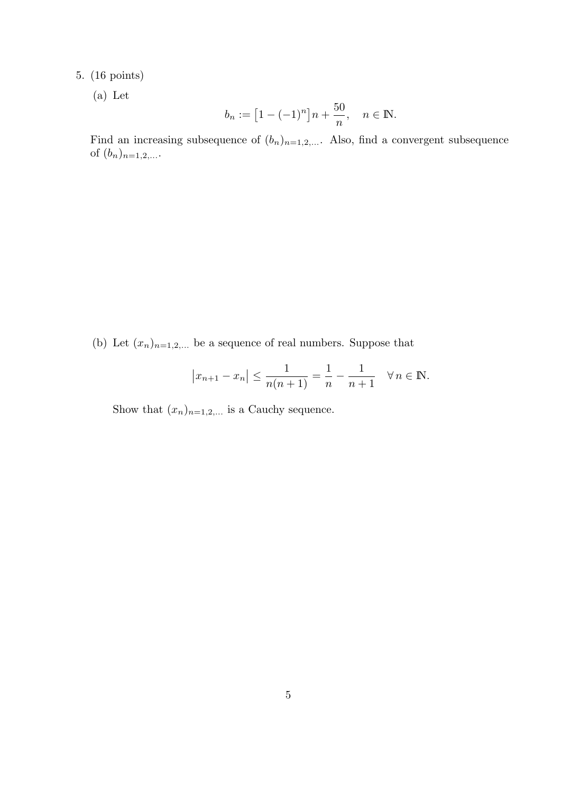## 5. (16 points)

(a) Let

$$
b_n := [1 - (-1)^n]n + \frac{50}{n}, \quad n \in \mathbb{N}.
$$

Find an increasing subsequence of  $(b_n)_{n=1,2,...}$ . Also, find a convergent subsequence of  $(b_n)_{n=1,2,...}$ .

(b) Let  $(x_n)_{n=1,2,...}$  be a sequence of real numbers. Suppose that

$$
|x_{n+1} - x_n| \le \frac{1}{n(n+1)} = \frac{1}{n} - \frac{1}{n+1} \quad \forall n \in \mathbb{N}.
$$

Show that  $(x_n)_{n=1,2,...}$  is a Cauchy sequence.